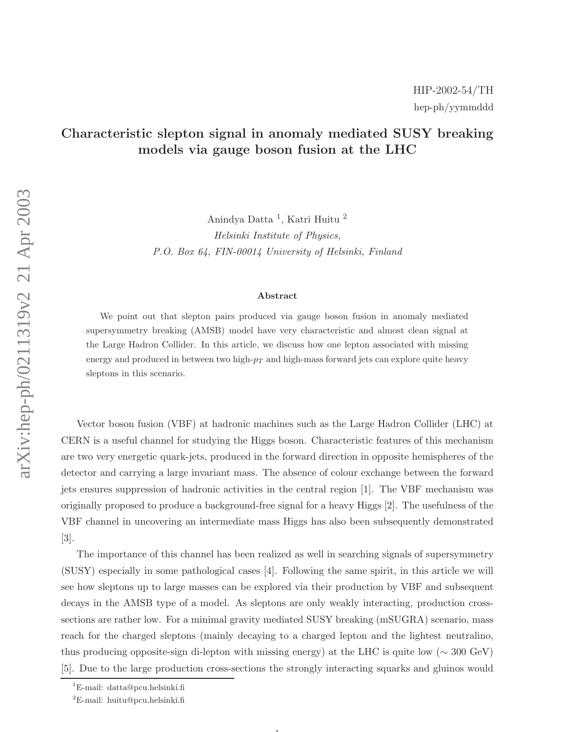## Characteristic slepton signal in anomaly mediated SUSY breaking models via gauge boson fusion at the LHC

Anindya Datta 1 , Katri Huitu 2 Helsinki Institute of Physics, P.O. Box 64, FIN-00014 University of Helsinki, Finland

## Abstract

We point out that slepton pairs produced via gauge boson fusion in anomaly mediated supersymmetry breaking (AMSB) model have very characteristic and almost clean signal at the Large Hadron Collider. In this article, we discuss how one lepton associated with missing energy and produced in between two high- $p_T$  and high-mass forward jets can explore quite heavy sleptons in this scenario.

Vector boson fusion (VBF) at hadronic machines such as the Large Hadron Collider (LHC) at CERN is a useful channel for studying the Higgs boson. Characteristic features of this mechanism are two very energetic quark-jets, produced in the forward direction in opposite hemispheres of the detector and carrying a large invariant mass. The absence of colour exchange between the forward jets ensures suppression of hadronic activities in the central region [1]. The VBF mechanism was originally proposed to produce a background-free signal for a heavy Higgs [2]. The usefulness of the VBF channel in uncovering an intermediate mass Higgs has also been subsequently demonstrated [3].

The importance of this channel has been realized as well in searching signals of supersymmetry (SUSY) especially in some pathological cases [4]. Following the same spirit, in this article we will see how sleptons up to large masses can be explored via their production by VBF and subsequent decays in the AMSB type of a model. As sleptons are only weakly interacting, production crosssections are rather low. For a minimal gravity mediated SUSY breaking (mSUGRA) scenario, mass reach for the charged sleptons (mainly decaying to a charged lepton and the lightest neutralino, thus producing opposite-sign di-lepton with missing energy) at the LHC is quite low ( $\sim 300 \text{ GeV}$ ) [5]. Due to the large production cross-sections the strongly interacting squarks and gluinos would

 $\mathbf{1}$ 

<sup>1</sup>E-mail: datta@pcu.helsinki.fi

 ${}^{2}E$ -mail: huitu@pcu.helsinki.fi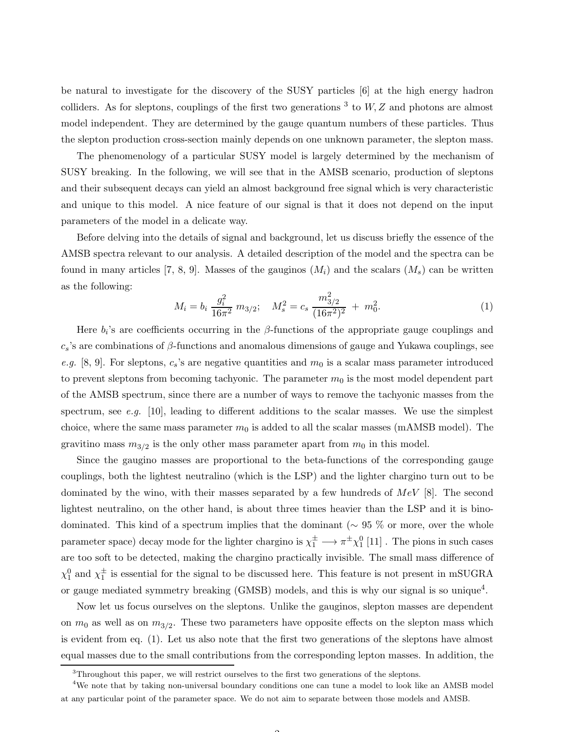be natural to investigate for the discovery of the SUSY particles [6] at the high energy hadron colliders. As for sleptons, couplings of the first two generations  $3$  to  $W$ ,  $Z$  and photons are almost model independent. They are determined by the gauge quantum numbers of these particles. Thus the slepton production cross-section mainly depends on one unknown parameter, the slepton mass.

The phenomenology of a particular SUSY model is largely determined by the mechanism of SUSY breaking. In the following, we will see that in the AMSB scenario, production of sleptons and their subsequent decays can yield an almost background free signal which is very characteristic and unique to this model. A nice feature of our signal is that it does not depend on the input parameters of the model in a delicate way.

Before delving into the details of signal and background, let us discuss briefly the essence of the AMSB spectra relevant to our analysis. A detailed description of the model and the spectra can be found in many articles [7, 8, 9]. Masses of the gauginos  $(M_i)$  and the scalars  $(M_s)$  can be written as the following:

$$
M_i = b_i \frac{g_i^2}{16\pi^2} m_{3/2}; \quad M_s^2 = c_s \frac{m_{3/2}^2}{(16\pi^2)^2} + m_0^2.
$$
 (1)

Here  $b_i$ 's are coefficients occurring in the  $\beta$ -functions of the appropriate gauge couplings and  $c_s$ 's are combinations of  $\beta$ -functions and anomalous dimensions of gauge and Yukawa couplings, see e.g. [8, 9]. For sleptons,  $c_s$ 's are negative quantities and  $m_0$  is a scalar mass parameter introduced to prevent sleptons from becoming tachyonic. The parameter  $m_0$  is the most model dependent part of the AMSB spectrum, since there are a number of ways to remove the tachyonic masses from the spectrum, see e.g. [10], leading to different additions to the scalar masses. We use the simplest choice, where the same mass parameter  $m_0$  is added to all the scalar masses (mAMSB model). The gravitino mass  $m_{3/2}$  is the only other mass parameter apart from  $m_0$  in this model.

Since the gaugino masses are proportional to the beta-functions of the corresponding gauge couplings, both the lightest neutralino (which is the LSP) and the lighter chargino turn out to be dominated by the wino, with their masses separated by a few hundreds of  $MeV$  [8]. The second lightest neutralino, on the other hand, is about three times heavier than the LSP and it is binodominated. This kind of a spectrum implies that the dominant (∼ 95 % or more, over the whole parameter space) decay mode for the lighter chargino is  $\chi_1^{\pm} \longrightarrow \pi^{\pm} \chi_1^0$  [11]. The pions in such cases are too soft to be detected, making the chargino practically invisible. The small mass difference of  $\chi_1^0$  and  $\chi_1^{\pm}$  is essential for the signal to be discussed here. This feature is not present in mSUGRA or gauge mediated symmetry breaking (GMSB) models, and this is why our signal is so unique<sup>4</sup>.

Now let us focus ourselves on the sleptons. Unlike the gauginos, slepton masses are dependent on  $m_0$  as well as on  $m_{3/2}$ . These two parameters have opposite effects on the slepton mass which is evident from eq. (1). Let us also note that the first two generations of the sleptons have almost equal masses due to the small contributions from the corresponding lepton masses. In addition, the

<sup>&</sup>lt;sup>3</sup>Throughout this paper, we will restrict ourselves to the first two generations of the sleptons.

<sup>&</sup>lt;sup>4</sup>We note that by taking non-universal boundary conditions one can tune a model to look like an AMSB model at any particular point of the parameter space. We do not aim to separate between those models and AMSB.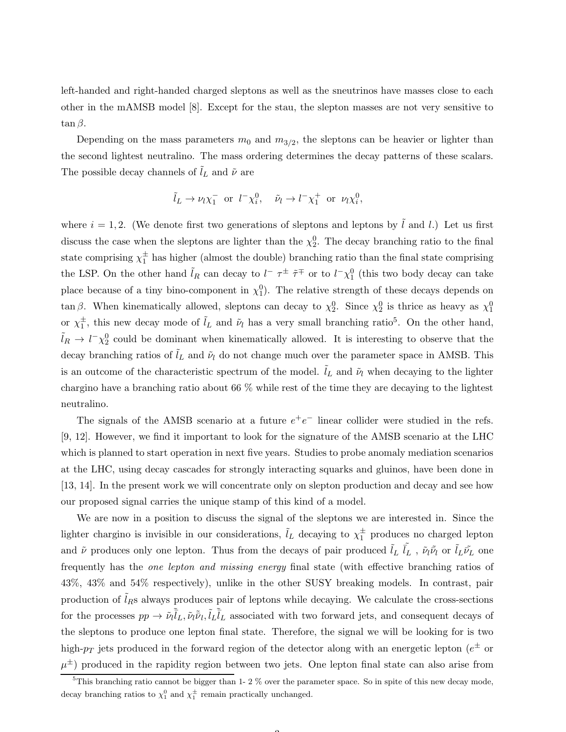left-handed and right-handed charged sleptons as well as the sneutrinos have masses close to each other in the mAMSB model [8]. Except for the stau, the slepton masses are not very sensitive to  $\tan \beta$ .

Depending on the mass parameters  $m_0$  and  $m_{3/2}$ , the sleptons can be heavier or lighter than the second lightest neutralino. The mass ordering determines the decay patterns of these scalars. The possible decay channels of  $l_L$  and  $\tilde{\nu}$  are

$$
\tilde{l}_L \to \nu_l \chi_1^-
$$
 or  $l^- \chi_i^0$ ,  $\tilde{\nu}_l \to l^- \chi_1^+$  or  $\nu_l \chi_i^0$ ,

where  $i = 1, 2$ . (We denote first two generations of sleptons and leptons by l and l.) Let us first discuss the case when the sleptons are lighter than the  $\chi_2^0$ . The decay branching ratio to the final state comprising  $\chi_1^{\pm}$  has higher (almost the double) branching ratio than the final state comprising the LSP. On the other hand  $\tilde{l}_R$  can decay to  $l^- \tau^{\pm}$   $\tilde{\tau}^{\mp}$  or to  $l^- \chi_1^0$  (this two body decay can take place because of a tiny bino-component in  $\chi_1^0$ ). The relative strength of these decays depends on tan β. When kinematically allowed, sleptons can decay to  $\chi_2^0$ . Since  $\chi_2^0$  is thrice as heavy as  $\chi_1^0$ or  $\chi_1^{\pm}$ , this new decay mode of  $\tilde{l}_L$  and  $\tilde{\nu}_l$  has a very small branching ratio<sup>5</sup>. On the other hand,  $\tilde{l}_R \to l^- \chi_2^0$  could be dominant when kinematically allowed. It is interesting to observe that the decay branching ratios of  $\tilde{l}_L$  and  $\tilde{\nu}_l$  do not change much over the parameter space in AMSB. This is an outcome of the characteristic spectrum of the model.  $\tilde{l}_L$  and  $\tilde{\nu}_l$  when decaying to the lighter chargino have a branching ratio about 66 % while rest of the time they are decaying to the lightest neutralino.

The signals of the AMSB scenario at a future  $e^+e^-$  linear collider were studied in the refs. [9, 12]. However, we find it important to look for the signature of the AMSB scenario at the LHC which is planned to start operation in next five years. Studies to probe anomaly mediation scenarios at the LHC, using decay cascades for strongly interacting squarks and gluinos, have been done in [13, 14]. In the present work we will concentrate only on slepton production and decay and see how our proposed signal carries the unique stamp of this kind of a model.

We are now in a position to discuss the signal of the sleptons we are interested in. Since the lighter chargino is invisible in our considerations,  $\tilde{l}_L$  decaying to  $\chi_1^{\pm}$  produces no charged lepton and  $\tilde{\nu}$  produces only one lepton. Thus from the decays of pair produced  $\tilde{l}_L \tilde{l}_L$ ,  $\tilde{\nu}_l \tilde{\nu}_l$  or  $\tilde{l}_L \tilde{\nu}_L$  one frequently has the one lepton and missing energy final state (with effective branching ratios of 43%, 43% and 54% respectively), unlike in the other SUSY breaking models. In contrast, pair production of  $\tilde{l}_R$ s always produces pair of leptons while decaying. We calculate the cross-sections for the processes  $pp \to \tilde{\nu}_l \tilde{l}_L, \tilde{\nu}_l \tilde{\nu}_l, \tilde{l}_L \tilde{l}_L$  associated with two forward jets, and consequent decays of the sleptons to produce one lepton final state. Therefore, the signal we will be looking for is two high- $p_T$  jets produced in the forward region of the detector along with an energetic lepton ( $e^{\pm}$  or  $\mu^{\pm}$ ) produced in the rapidity region between two jets. One lepton final state can also arise from

 $5$ This branching ratio cannot be bigger than 1- 2 % over the parameter space. So in spite of this new decay mode, decay branching ratios to  $\chi_1^0$  and  $\chi_1^{\pm}$  remain practically unchanged.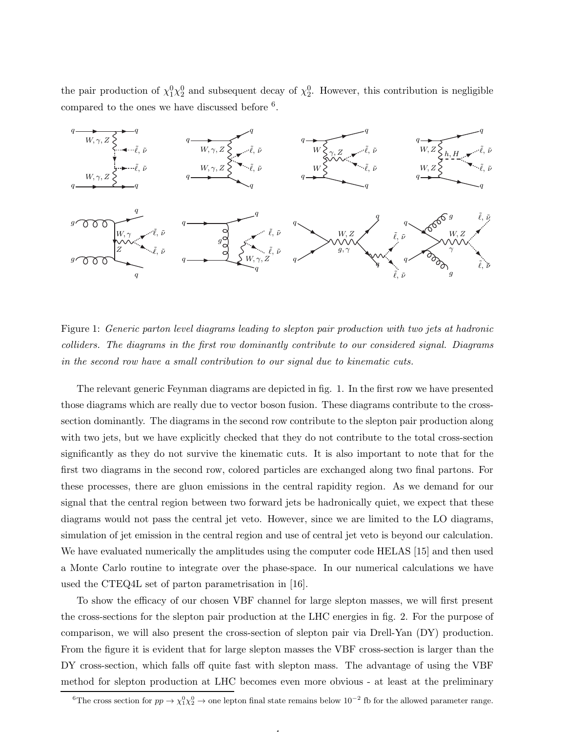the pair production of  $\chi_1^0 \chi_2^0$  and subsequent decay of  $\chi_2^0$ . However, this contribution is negligible compared to the ones we have discussed before <sup>6</sup>.



Figure 1: Generic parton level diagrams leading to slepton pair production with two jets at hadronic colliders. The diagrams in the first row dominantly contribute to our considered signal. Diagrams in the second row have a small contribution to our signal due to kinematic cuts.

The relevant generic Feynman diagrams are depicted in fig. 1. In the first row we have presented those diagrams which are really due to vector boson fusion. These diagrams contribute to the crosssection dominantly. The diagrams in the second row contribute to the slepton pair production along with two jets, but we have explicitly checked that they do not contribute to the total cross-section significantly as they do not survive the kinematic cuts. It is also important to note that for the first two diagrams in the second row, colored particles are exchanged along two final partons. For these processes, there are gluon emissions in the central rapidity region. As we demand for our signal that the central region between two forward jets be hadronically quiet, we expect that these diagrams would not pass the central jet veto. However, since we are limited to the LO diagrams, simulation of jet emission in the central region and use of central jet veto is beyond our calculation. We have evaluated numerically the amplitudes using the computer code HELAS [15] and then used a Monte Carlo routine to integrate over the phase-space. In our numerical calculations we have used the CTEQ4L set of parton parametrisation in [16].

To show the efficacy of our chosen VBF channel for large slepton masses, we will first present the cross-sections for the slepton pair production at the LHC energies in fig. 2. For the purpose of comparison, we will also present the cross-section of slepton pair via Drell-Yan (DY) production. From the figure it is evident that for large slepton masses the VBF cross-section is larger than the DY cross-section, which falls off quite fast with slepton mass. The advantage of using the VBF method for slepton production at LHC becomes even more obvious - at least at the preliminary

4

<sup>&</sup>lt;sup>6</sup>The cross section for  $pp \to \chi_1^0 \chi_2^0 \to$  one lepton final state remains below  $10^{-2}$  fb for the allowed parameter range.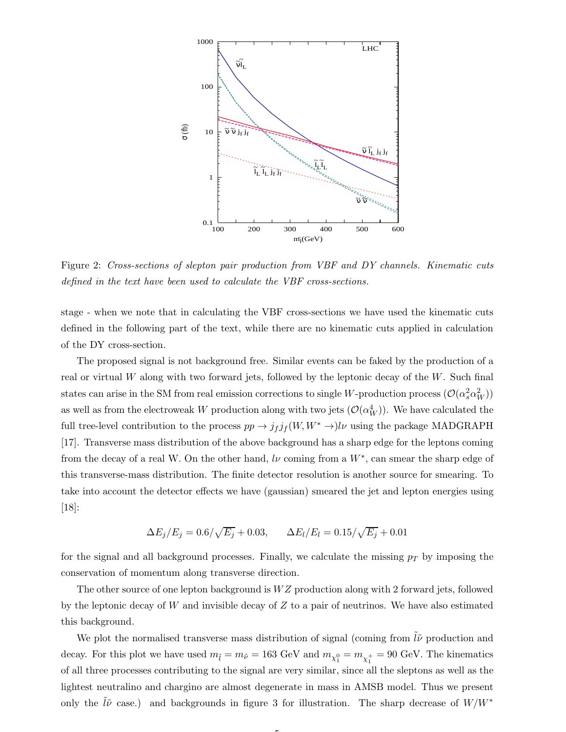

Figure 2: Cross-sections of slepton pair production from VBF and DY channels. Kinematic cuts defined in the text have been used to calculate the VBF cross-sections.

stage - when we note that in calculating the VBF cross-sections we have used the kinematic cuts defined in the following part of the text, while there are no kinematic cuts applied in calculation of the DY cross-section.

The proposed signal is not background free. Similar events can be faked by the production of a real or virtual W along with two forward jets, followed by the leptonic decay of the  $W$ . Such final states can arise in the SM from real emission corrections to single W-production process  $(\mathcal{O}(\alpha_s^2\alpha_W^2))$ as well as from the electroweak W production along with two jets  $(\mathcal{O}(\alpha_W^4))$ . We have calculated the full tree-level contribution to the process  $pp \to j_f j_f(W, W^* \to) l \nu$  using the package MADGRAPH [17]. Transverse mass distribution of the above background has a sharp edge for the leptons coming from the decay of a real W. On the other hand,  $l\nu$  coming from a  $W^*$ , can smear the sharp edge of this transverse-mass distribution. The finite detector resolution is another source for smearing. To take into account the detector effects we have (gaussian) smeared the jet and lepton energies using [18]:

$$
\Delta E_j/E_j = 0.6/\sqrt{E_j} + 0.03, \qquad \Delta E_l/E_l = 0.15/\sqrt{E_j} + 0.01
$$

for the signal and all background processes. Finally, we calculate the missing  $p_T$  by imposing the conservation of momentum along transverse direction.

The other source of one lepton background is  $WZ$  production along with 2 forward jets, followed by the leptonic decay of  $W$  and invisible decay of  $Z$  to a pair of neutrinos. We have also estimated this background.

We plot the normalised transverse mass distribution of signal (coming from  $\tilde{l}\tilde{\nu}$  production and decay. For this plot we have used  $m_{\tilde{l}} = m_{\tilde{\nu}} = 163 \text{ GeV}$  and  $m_{\chi_1^0} = m_{\chi_1^+} = 90 \text{ GeV}$ . The kinematics of all three processes contributing to the signal are very similar, since all the sleptons as well as the lightest neutralino and chargino are almost degenerate in mass in AMSB model. Thus we present only the  $l\tilde{\nu}$  case.) and backgrounds in figure 3 for illustration. The sharp decrease of  $W/W^*$ 

5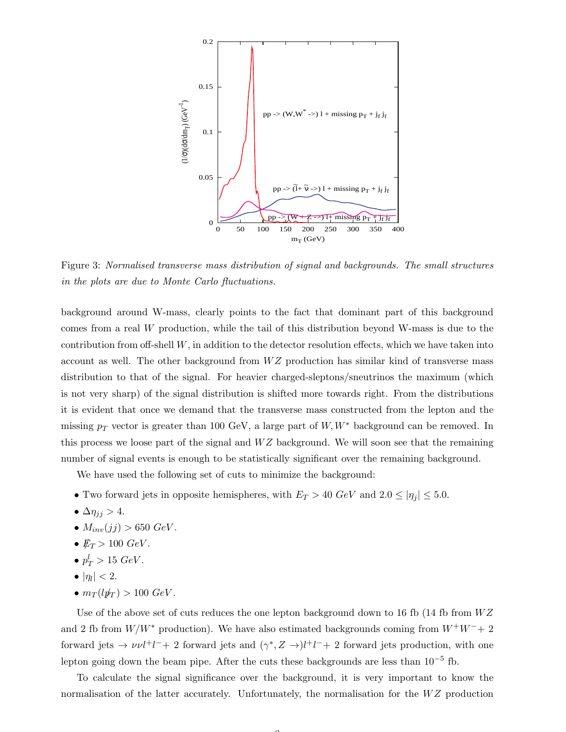

Figure 3: Normalised transverse mass distribution of signal and backgrounds. The small structures in the plots are due to Monte Carlo fluctuations.

background around W-mass, clearly points to the fact that dominant part of this background comes from a real W production, while the tail of this distribution beyond W-mass is due to the contribution from off-shell  $W$ , in addition to the detector resolution effects, which we have taken into account as well. The other background from  $WZ$  production has similar kind of transverse mass distribution to that of the signal. For heavier charged-sleptons/sneutrinos the maximum (which is not very sharp) of the signal distribution is shifted more towards right. From the distributions it is evident that once we demand that the transverse mass constructed from the lepton and the missing  $p_T$  vector is greater than 100 GeV, a large part of W, W<sup>\*</sup> background can be removed. In this process we loose part of the signal and  $WZ$  background. We will soon see that the remaining number of signal events is enough to be statistically significant over the remaining background.

We have used the following set of cuts to minimize the background:

- Two forward jets in opposite hemispheres, with  $E_T > 40 \text{ GeV}$  and  $2.0 \leq |\eta_j| \leq 5.0$ .
- $\Delta \eta_{jj} > 4$ .
- $M_{inv}(jj) > 650 \text{ GeV}.$
- $E_T > 100 \text{ GeV}$ .
- $p_T^l > 15 \ GeV$ .
- $\bullet$   $|\eta_l|$  < 2.
- $m_T(lp_T) > 100 \text{ GeV}.$

Use of the above set of cuts reduces the one lepton background down to 16 fb (14 fb from  $WZ$ ) and 2 fb from  $W/W^*$  production). We have also estimated backgrounds coming from  $W^+W^-+2$ forward jets  $\rightarrow \nu \nu l^+l^-+2$  forward jets and  $(\gamma^*, Z \rightarrow)l^+l^-+2$  forward jets production, with one lepton going down the beam pipe. After the cuts these backgrounds are less than  $10^{-5}$  fb.

To calculate the signal significance over the background, it is very important to know the normalisation of the latter accurately. Unfortunately, the normalisation for the  $WZ$  production

 $\sqrt{2}$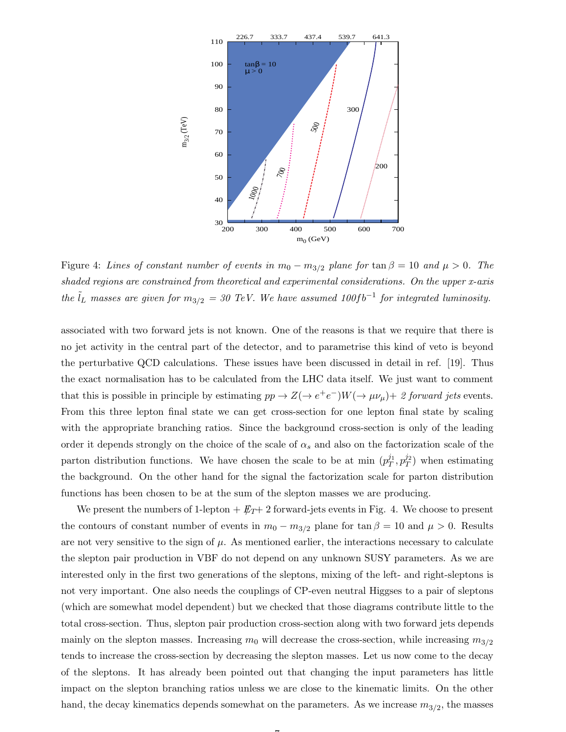

Figure 4: Lines of constant number of events in  $m_0 - m_{3/2}$  plane for  $\tan \beta = 10$  and  $\mu > 0$ . The shaded regions are constrained from theoretical and experimental considerations. On the upper x-axis the  $\tilde{l}_L$  masses are given for  $m_{3/2} = 30$  TeV. We have assumed 100fb<sup>-1</sup> for integrated luminosity.

associated with two forward jets is not known. One of the reasons is that we require that there is no jet activity in the central part of the detector, and to parametrise this kind of veto is beyond the perturbative QCD calculations. These issues have been discussed in detail in ref. [19]. Thus the exact normalisation has to be calculated from the LHC data itself. We just want to comment that this is possible in principle by estimating  $pp \to Z(\to e^+e^-)W(\to \mu\nu_\mu)+2$  forward jets events. From this three lepton final state we can get cross-section for one lepton final state by scaling with the appropriate branching ratios. Since the background cross-section is only of the leading order it depends strongly on the choice of the scale of  $\alpha_s$  and also on the factorization scale of the parton distribution functions. We have chosen the scale to be at min  $(p_T^{j_1})$  $\frac{j_1}{T}, p_T^{j_2}$  $T^{\frac{J2}{T}}$  when estimating the background. On the other hand for the signal the factorization scale for parton distribution functions has been chosen to be at the sum of the slepton masses we are producing.

We present the numbers of 1-lepton  $+ \not{E}_{T}$  2 forward-jets events in Fig. 4. We choose to present the contours of constant number of events in  $m_0 - m_{3/2}$  plane for tan  $\beta = 10$  and  $\mu > 0$ . Results are not very sensitive to the sign of  $\mu$ . As mentioned earlier, the interactions necessary to calculate the slepton pair production in VBF do not depend on any unknown SUSY parameters. As we are interested only in the first two generations of the sleptons, mixing of the left- and right-sleptons is not very important. One also needs the couplings of CP-even neutral Higgses to a pair of sleptons (which are somewhat model dependent) but we checked that those diagrams contribute little to the total cross-section. Thus, slepton pair production cross-section along with two forward jets depends mainly on the slepton masses. Increasing  $m_0$  will decrease the cross-section, while increasing  $m_{3/2}$ tends to increase the cross-section by decreasing the slepton masses. Let us now come to the decay of the sleptons. It has already been pointed out that changing the input parameters has little impact on the slepton branching ratios unless we are close to the kinematic limits. On the other hand, the decay kinematics depends somewhat on the parameters. As we increase  $m_{3/2}$ , the masses

 $\rightarrow$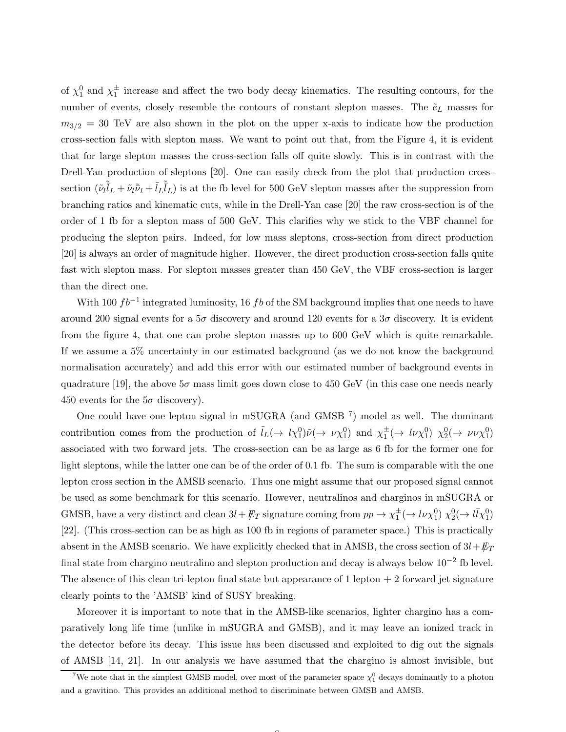of  $\chi_1^0$  and  $\chi_1^{\pm}$  increase and affect the two body decay kinematics. The resulting contours, for the number of events, closely resemble the contours of constant slepton masses. The  $\tilde{e}_L$  masses for  $m_{3/2} = 30$  TeV are also shown in the plot on the upper x-axis to indicate how the production cross-section falls with slepton mass. We want to point out that, from the Figure 4, it is evident that for large slepton masses the cross-section falls off quite slowly. This is in contrast with the Drell-Yan production of sleptons [20]. One can easily check from the plot that production crosssection  $(\tilde{\nu}_l \tilde{l}_L + \tilde{\nu}_l \tilde{\nu}_l + \tilde{l}_L \tilde{l}_L)$  is at the fb level for 500 GeV slepton masses after the suppression from branching ratios and kinematic cuts, while in the Drell-Yan case [20] the raw cross-section is of the order of 1 fb for a slepton mass of 500 GeV. This clarifies why we stick to the VBF channel for producing the slepton pairs. Indeed, for low mass sleptons, cross-section from direct production [20] is always an order of magnitude higher. However, the direct production cross-section falls quite fast with slepton mass. For slepton masses greater than 450 GeV, the VBF cross-section is larger than the direct one.

With 100  $fb^{-1}$  integrated luminosity, 16 fb of the SM background implies that one needs to have around 200 signal events for a  $5\sigma$  discovery and around 120 events for a  $3\sigma$  discovery. It is evident from the figure 4, that one can probe slepton masses up to 600 GeV which is quite remarkable. If we assume a 5% uncertainty in our estimated background (as we do not know the background normalisation accurately) and add this error with our estimated number of background events in quadrature [19], the above  $5\sigma$  mass limit goes down close to 450 GeV (in this case one needs nearly 450 events for the  $5\sigma$  discovery).

One could have one lepton signal in mSUGRA (and GMSB<sup>7</sup>) model as well. The dominant contribution comes from the production of  $\tilde{l}_L(\to l\chi_1^0)\tilde{\nu}(\to \nu\chi_1^0)$  and  $\chi_1^{\pm}(\to l\nu\chi_1^0)$   $\chi_2^0(\to \nu\nu\chi_1^0)$ associated with two forward jets. The cross-section can be as large as 6 fb for the former one for light sleptons, while the latter one can be of the order of 0.1 fb. The sum is comparable with the one lepton cross section in the AMSB scenario. Thus one might assume that our proposed signal cannot be used as some benchmark for this scenario. However, neutralinos and charginos in mSUGRA or GMSB, have a very distinct and clean  $3l + \not{E}_T$  signature coming from  $pp \to \chi_1^{\pm} (\to l\nu\chi_1^0) \chi_2^0 (\to l\bar{l}\chi_1^0)$ [22]. (This cross-section can be as high as 100 fb in regions of parameter space.) This is practically absent in the AMSB scenario. We have explicitly checked that in AMSB, the cross section of  $3l+E_T$ final state from chargino neutralino and slepton production and decay is always below  $10^{-2}$  fb level. The absence of this clean tri-lepton final state but appearance of  $1$  lepton  $+2$  forward jet signature clearly points to the 'AMSB' kind of SUSY breaking.

Moreover it is important to note that in the AMSB-like scenarios, lighter chargino has a comparatively long life time (unlike in mSUGRA and GMSB), and it may leave an ionized track in the detector before its decay. This issue has been discussed and exploited to dig out the signals of AMSB [14, 21]. In our analysis we have assumed that the chargino is almost invisible, but

<sup>&</sup>lt;sup>7</sup>We note that in the simplest GMSB model, over most of the parameter space  $\chi_1^0$  decays dominantly to a photon and a gravitino. This provides an additional method to discriminate between GMSB and AMSB.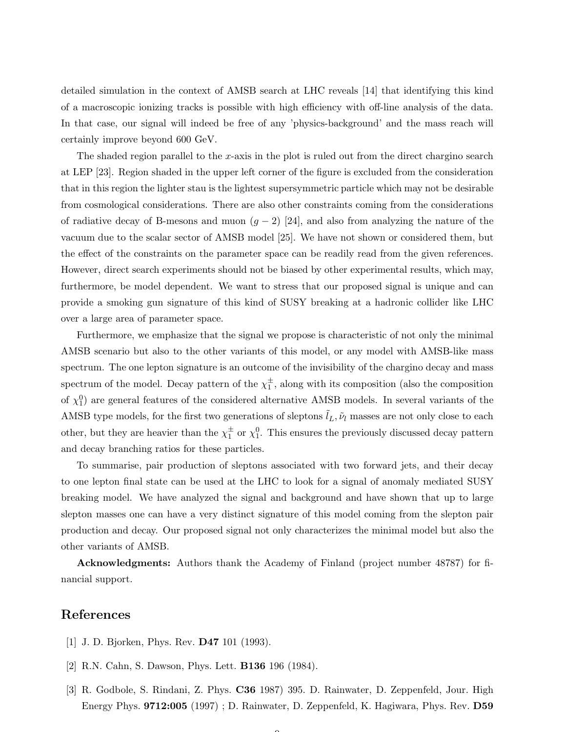detailed simulation in the context of AMSB search at LHC reveals [14] that identifying this kind of a macroscopic ionizing tracks is possible with high efficiency with off-line analysis of the data. In that case, our signal will indeed be free of any 'physics-background' and the mass reach will certainly improve beyond 600 GeV.

The shaded region parallel to the x-axis in the plot is ruled out from the direct chargino search at LEP [23]. Region shaded in the upper left corner of the figure is excluded from the consideration that in this region the lighter stau is the lightest supersymmetric particle which may not be desirable from cosmological considerations. There are also other constraints coming from the considerations of radiative decay of B-mesons and muon  $(g - 2)$  [24], and also from analyzing the nature of the vacuum due to the scalar sector of AMSB model [25]. We have not shown or considered them, but the effect of the constraints on the parameter space can be readily read from the given references. However, direct search experiments should not be biased by other experimental results, which may, furthermore, be model dependent. We want to stress that our proposed signal is unique and can provide a smoking gun signature of this kind of SUSY breaking at a hadronic collider like LHC over a large area of parameter space.

Furthermore, we emphasize that the signal we propose is characteristic of not only the minimal AMSB scenario but also to the other variants of this model, or any model with AMSB-like mass spectrum. The one lepton signature is an outcome of the invisibility of the chargino decay and mass spectrum of the model. Decay pattern of the  $\chi_1^{\pm}$ , along with its composition (also the composition of  $\chi_1^0$ ) are general features of the considered alternative AMSB models. In several variants of the AMSB type models, for the first two generations of sleptons  $\tilde{l}_L, \tilde{\nu}_l$  masses are not only close to each other, but they are heavier than the  $\chi_1^{\pm}$  or  $\chi_1^0$ . This ensures the previously discussed decay pattern and decay branching ratios for these particles.

To summarise, pair production of sleptons associated with two forward jets, and their decay to one lepton final state can be used at the LHC to look for a signal of anomaly mediated SUSY breaking model. We have analyzed the signal and background and have shown that up to large slepton masses one can have a very distinct signature of this model coming from the slepton pair production and decay. Our proposed signal not only characterizes the minimal model but also the other variants of AMSB.

Acknowledgments: Authors thank the Academy of Finland (project number 48787) for financial support.

## References

- [1] J. D. Bjorken, Phys. Rev. D47 101 (1993).
- [2] R.N. Cahn, S. Dawson, Phys. Lett. B136 196 (1984).
- [3] R. Godbole, S. Rindani, Z. Phys. C36 1987) 395. D. Rainwater, D. Zeppenfeld, Jour. High Energy Phys. 9712:005 (1997) ; D. Rainwater, D. Zeppenfeld, K. Hagiwara, Phys. Rev. D59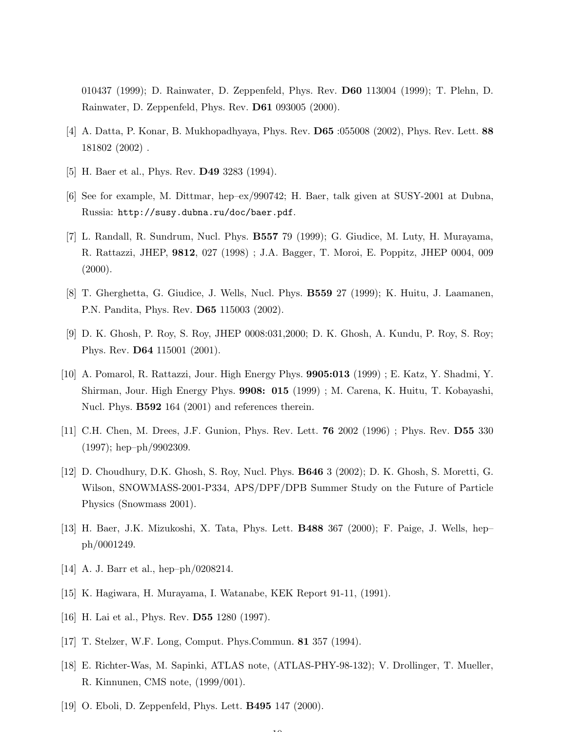010437 (1999); D. Rainwater, D. Zeppenfeld, Phys. Rev. D60 113004 (1999); T. Plehn, D. Rainwater, D. Zeppenfeld, Phys. Rev. D61 093005 (2000).

- [4] A. Datta, P. Konar, B. Mukhopadhyaya, Phys. Rev. D65 :055008 (2002), Phys. Rev. Lett. 88 181802 (2002) .
- [5] H. Baer et al., Phys. Rev. D49 3283 (1994).
- [6] See for example, M. Dittmar, hep–ex/990742; H. Baer, talk given at SUSY-2001 at Dubna, Russia: http://susy.dubna.ru/doc/baer.pdf.
- [7] L. Randall, R. Sundrum, Nucl. Phys. B557 79 (1999); G. Giudice, M. Luty, H. Murayama, R. Rattazzi, JHEP, 9812, 027 (1998) ; J.A. Bagger, T. Moroi, E. Poppitz, JHEP 0004, 009  $(2000).$
- [8] T. Gherghetta, G. Giudice, J. Wells, Nucl. Phys. B559 27 (1999); K. Huitu, J. Laamanen, P.N. Pandita, Phys. Rev. D65 115003 (2002).
- [9] D. K. Ghosh, P. Roy, S. Roy, JHEP 0008:031,2000; D. K. Ghosh, A. Kundu, P. Roy, S. Roy; Phys. Rev. D64 115001 (2001).
- [10] A. Pomarol, R. Rattazzi, Jour. High Energy Phys. 9905:013 (1999) ; E. Katz, Y. Shadmi, Y. Shirman, Jour. High Energy Phys. 9908: 015 (1999) ; M. Carena, K. Huitu, T. Kobayashi, Nucl. Phys. **B592** 164 (2001) and references therein.
- [11] C.H. Chen, M. Drees, J.F. Gunion, Phys. Rev. Lett. 76 2002 (1996) ; Phys. Rev. D55 330 (1997); hep–ph/9902309.
- [12] D. Choudhury, D.K. Ghosh, S. Roy, Nucl. Phys. B646 3 (2002); D. K. Ghosh, S. Moretti, G. Wilson, SNOWMASS-2001-P334, APS/DPF/DPB Summer Study on the Future of Particle Physics (Snowmass 2001).
- [13] H. Baer, J.K. Mizukoshi, X. Tata, Phys. Lett. B488 367 (2000); F. Paige, J. Wells, hep– ph/0001249.
- [14] A. J. Barr et al., hep–ph/0208214.
- [15] K. Hagiwara, H. Murayama, I. Watanabe, KEK Report 91-11, (1991).
- [16] H. Lai et al., Phys. Rev. **D55** 1280 (1997).
- [17] T. Stelzer, W.F. Long, Comput. Phys.Commun. 81 357 (1994).
- [18] E. Richter-Was, M. Sapinki, ATLAS note, (ATLAS-PHY-98-132); V. Drollinger, T. Mueller, R. Kinnunen, CMS note, (1999/001).

 $\overline{10}$ 

[19] O. Eboli, D. Zeppenfeld, Phys. Lett. B495 147 (2000).